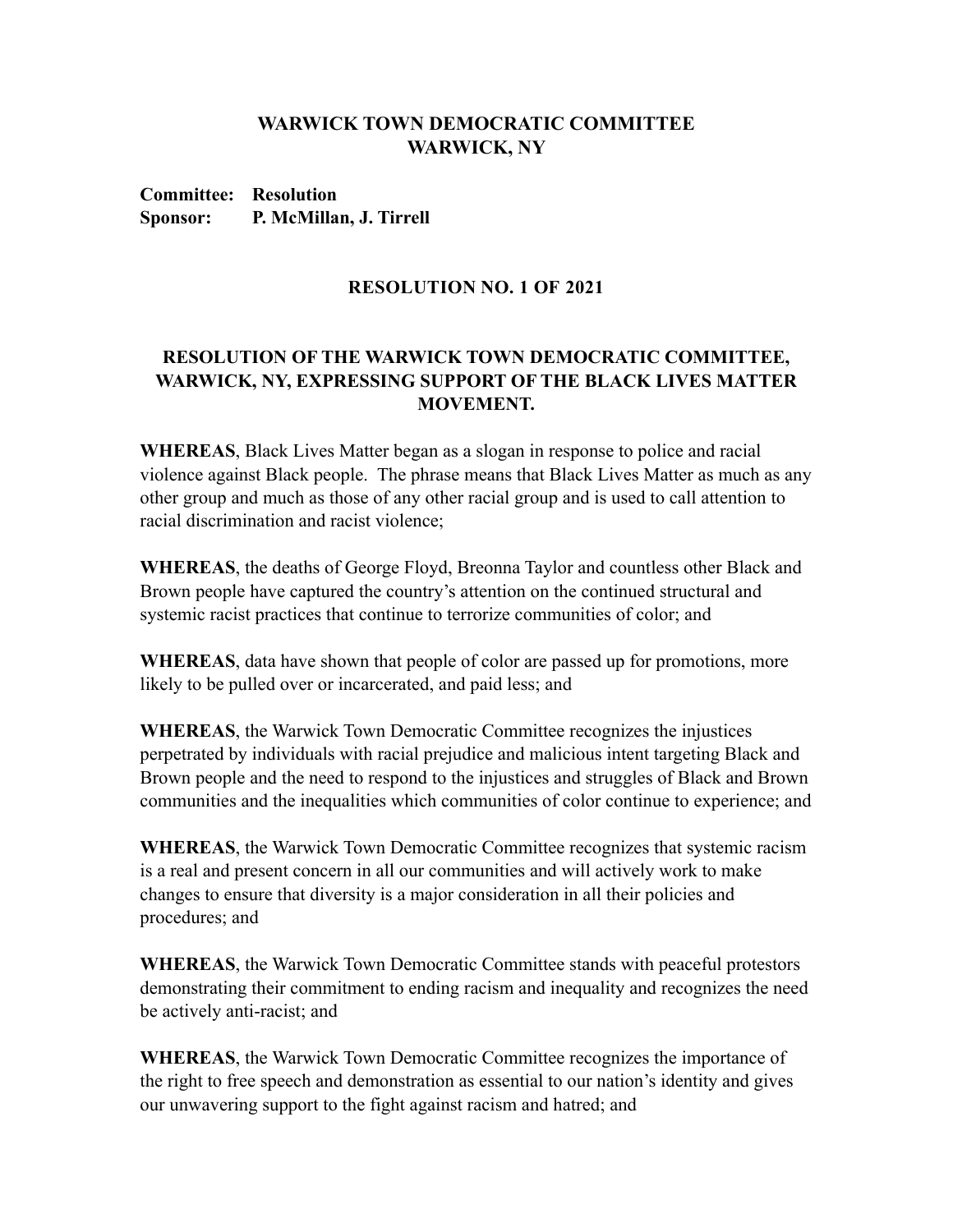## **WARWICK TOWN DEMOCRATIC COMMITTEE WARWICK, NY**

**Committee: Resolution Sponsor: P. McMillan, J. Tirrell**

## **RESOLUTION NO. 1 OF 2021**

## **RESOLUTION OF THE WARWICK TOWN DEMOCRATIC COMMITTEE, WARWICK, NY, EXPRESSING SUPPORT OF THE BLACK LIVES MATTER MOVEMENT.**

**WHEREAS**, Black Lives Matter began as a slogan in response to police and racial violence against Black people. The phrase means that Black Lives Matter as much as any other group and much as those of any other racial group and is used to call attention to racial discrimination and racist violence;

**WHEREAS**, the deaths of George Floyd, Breonna Taylor and countless other Black and Brown people have captured the country's attention on the continued structural and systemic racist practices that continue to terrorize communities of color; and

**WHEREAS**, data have shown that people of color are passed up for promotions, more likely to be pulled over or incarcerated, and paid less; and

**WHEREAS**, the Warwick Town Democratic Committee recognizes the injustices perpetrated by individuals with racial prejudice and malicious intent targeting Black and Brown people and the need to respond to the injustices and struggles of Black and Brown communities and the inequalities which communities of color continue to experience; and

**WHEREAS**, the Warwick Town Democratic Committee recognizes that systemic racism is a real and present concern in all our communities and will actively work to make changes to ensure that diversity is a major consideration in all their policies and procedures; and

**WHEREAS**, the Warwick Town Democratic Committee stands with peaceful protestors demonstrating their commitment to ending racism and inequality and recognizes the need be actively anti-racist; and

**WHEREAS**, the Warwick Town Democratic Committee recognizes the importance of the right to free speech and demonstration as essential to our nation's identity and gives our unwavering support to the fight against racism and hatred; and